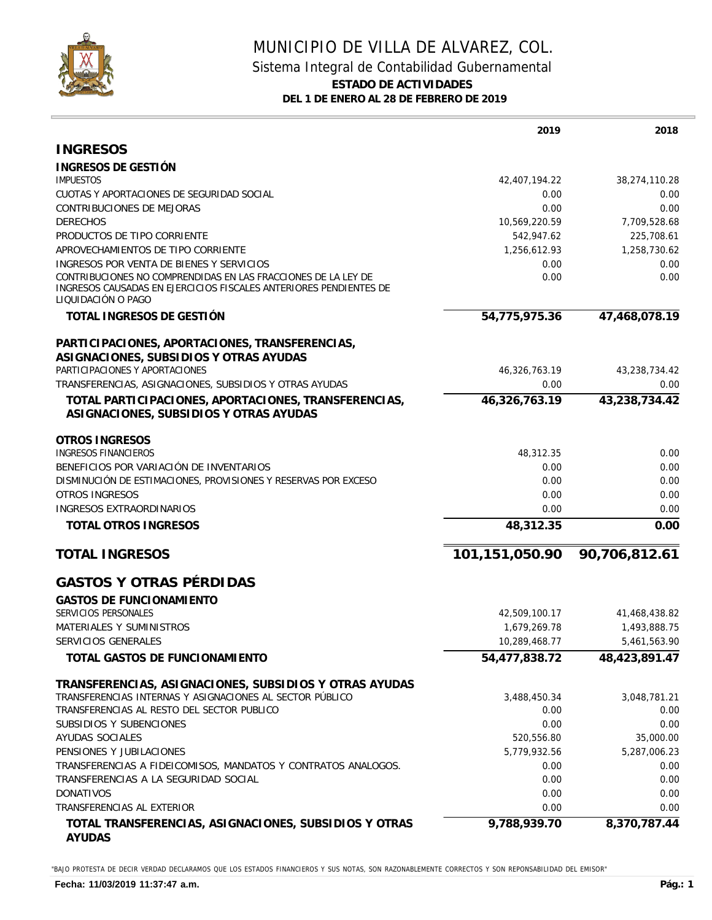

## MUNICIPIO DE VILLA DE ALVAREZ, COL. Sistema Integral de Contabilidad Gubernamental **ESTADO DE ACTIVIDADES DEL 1 DE ENERO AL 28 DE FEBRERO DE 2019**

|                                                                                                                                                          | 2019           | 2018          |
|----------------------------------------------------------------------------------------------------------------------------------------------------------|----------------|---------------|
| <b>INGRESOS</b>                                                                                                                                          |                |               |
| INGRESOS DE GESTIÓN                                                                                                                                      |                |               |
| <b>IMPUESTOS</b>                                                                                                                                         | 42,407,194.22  | 38,274,110.28 |
| CUOTAS Y APORTACIONES DE SEGURIDAD SOCIAL                                                                                                                | 0.00           | 0.00          |
| <b>CONTRIBUCIONES DE MEJORAS</b>                                                                                                                         | 0.00           | 0.00          |
| <b>DERECHOS</b>                                                                                                                                          | 10,569,220.59  | 7,709,528.68  |
| PRODUCTOS DE TIPO CORRIENTE                                                                                                                              | 542,947.62     | 225,708.61    |
| APROVECHAMIENTOS DE TIPO CORRIENTE                                                                                                                       | 1,256,612.93   | 1,258,730.62  |
| INGRESOS POR VENTA DE BIENES Y SERVICIOS                                                                                                                 | 0.00           | 0.00          |
| CONTRIBUCIONES NO COMPRENDIDAS EN LAS FRACCIONES DE LA LEY DE<br>INGRESOS CAUSADAS EN EJERCICIOS FISCALES ANTERIORES PENDIENTES DE<br>LIQUIDACIÓN O PAGO | 0.00           | 0.00          |
| TOTAL INGRESOS DE GESTIÓN                                                                                                                                | 54,775,975.36  | 47,468,078.19 |
| PARTICIPACIONES, APORTACIONES, TRANSFERENCIAS,<br>ASIGNACIONES, SUBSIDIOS Y OTRAS AYUDAS                                                                 |                |               |
| PARTICIPACIONES Y APORTACIONES                                                                                                                           | 46,326,763.19  | 43,238,734.42 |
| TRANSFERENCIAS, ASIGNACIONES, SUBSIDIOS Y OTRAS AYUDAS                                                                                                   | 0.00           | 0.00          |
| TOTAL PARTICIPACIONES, APORTACIONES, TRANSFERENCIAS,<br>ASIGNACIONES, SUBSIDIOS Y OTRAS AYUDAS                                                           | 46,326,763.19  | 43,238,734.42 |
| <b>OTROS INGRESOS</b>                                                                                                                                    |                |               |
| <b>INGRESOS FINANCIEROS</b>                                                                                                                              | 48,312.35      | 0.00          |
| BENEFICIOS POR VARIACIÓN DE INVENTARIOS                                                                                                                  | 0.00           | 0.00          |
| DISMINUCIÓN DE ESTIMACIONES, PROVISIONES Y RESERVAS POR EXCESO                                                                                           | 0.00           | 0.00          |
| <b>OTROS INGRESOS</b>                                                                                                                                    | 0.00           | 0.00          |
| INGRESOS EXTRAORDINARIOS                                                                                                                                 | 0.00           | 0.00          |
| <b>TOTAL OTROS INGRESOS</b>                                                                                                                              | 48,312.35      | 0.00          |
| <b>TOTAL INGRESOS</b>                                                                                                                                    | 101,151,050.90 | 90,706,812.61 |
| <b>GASTOS Y OTRAS PÉRDIDAS</b>                                                                                                                           |                |               |
| <b>GASTOS DE FUNCIONAMIENTO</b>                                                                                                                          |                |               |
| SERVICIOS PERSONALES                                                                                                                                     | 42,509,100.17  | 41,468,438.82 |
| MATERIALES Y SUMINISTROS                                                                                                                                 | 1,679,269.78   | 1,493,888.75  |
| SERVICIOS GENERALES                                                                                                                                      | 10,289,468.77  | 5,461,563.90  |
| TOTAL GASTOS DE FUNCIONAMIENTO                                                                                                                           | 54,477,838.72  | 48,423,891.47 |
| TRANSFERENCIAS, ASIGNACIONES, SUBSIDIOS Y OTRAS AYUDAS                                                                                                   |                |               |
| TRANSFERENCIAS INTERNAS Y ASIGNACIONES AL SECTOR PÚBLICO                                                                                                 | 3,488,450.34   | 3,048,781.21  |
| TRANSFERENCIAS AL RESTO DEL SECTOR PUBLICO                                                                                                               | 0.00           | 0.00          |
| SUBSIDIOS Y SUBENCIONES                                                                                                                                  | 0.00           | 0.00          |
| AYUDAS SOCIALES                                                                                                                                          | 520,556.80     | 35,000.00     |
| PENSIONES Y JUBILACIONES                                                                                                                                 | 5,779,932.56   | 5,287,006.23  |
| TRANSFERENCIAS A FIDEICOMISOS, MANDATOS Y CONTRATOS ANALOGOS.<br>TRANSFERENCIAS A LA SEGURIDAD SOCIAL                                                    | 0.00           | 0.00          |
| <b>DONATIVOS</b>                                                                                                                                         | 0.00<br>0.00   | 0.00<br>0.00  |
| TRANSFERENCIAS AL EXTERIOR                                                                                                                               | 0.00           | 0.00          |
|                                                                                                                                                          |                |               |
| TOTAL TRANSFERENCIAS, ASIGNACIONES, SUBSIDIOS Y OTRAS<br><b>AYUDAS</b>                                                                                   | 9,788,939.70   | 8,370,787.44  |

"BAJO PROTESTA DE DECIR VERDAD DECLARAMOS QUE LOS ESTADOS FINANCIEROS Y SUS NOTAS, SON RAZONABLEMENTE CORRECTOS Y SON REPONSABILIDAD DEL EMISOR"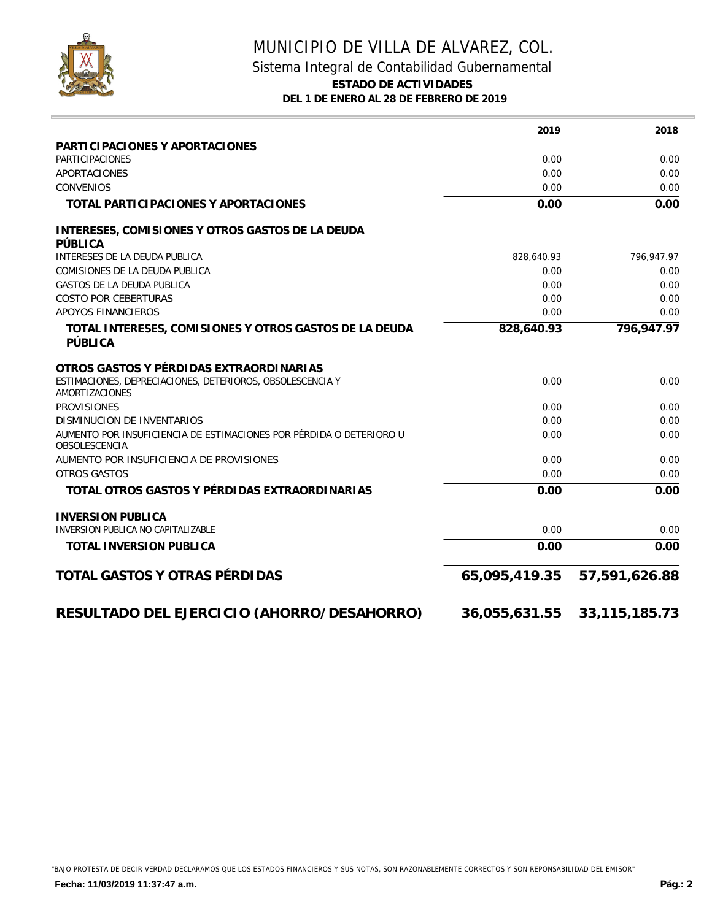

## MUNICIPIO DE VILLA DE ALVAREZ, COL. Sistema Integral de Contabilidad Gubernamental **ESTADO DE ACTIVIDADES DEL 1 DE ENERO AL 28 DE FEBRERO DE 2019**

|                                                                                             | 2019          | 2018             |
|---------------------------------------------------------------------------------------------|---------------|------------------|
| PARTICIPACIONES Y APORTACIONES                                                              |               |                  |
| <b>PARTICIPACIONES</b>                                                                      | 0.00          | 0.00             |
| APORTACIONES                                                                                | 0.00          | 0.00             |
| <b>CONVENIOS</b>                                                                            | 0.00          | 0.00             |
| TOTAL PARTICIPACIONES Y APORTACIONES                                                        | 0.00          | 0.00             |
| INTERESES, COMISIONES Y OTROS GASTOS DE LA DEUDA<br>PÚBLICA                                 |               |                  |
| INTERESES DE LA DEUDA PUBLICA                                                               | 828,640.93    | 796,947.97       |
| COMISIONES DE LA DEUDA PUBLICA                                                              | 0.00          | 0.00             |
| <b>GASTOS DE LA DEUDA PUBLICA</b>                                                           | 0.00          | 0.00             |
| <b>COSTO POR CEBERTURAS</b>                                                                 | 0.00          | 0.00             |
| APOYOS FINANCIEROS                                                                          | 0.00          | 0.00             |
| TOTAL INTERESES, COMISIONES Y OTROS GASTOS DE LA DEUDA<br>PÚBLICA                           | 828,640.93    | 796,947.97       |
| OTROS GASTOS Y PÉRDIDAS EXTRAORDINARIAS                                                     |               |                  |
| ESTIMACIONES, DEPRECIACIONES, DETERIOROS, OBSOLESCENCIA Y<br>AMORTIZACIONES                 | 0.00          | 0.00             |
| <b>PROVISIONES</b>                                                                          | 0.00          | 0.00             |
| <b>DISMINUCION DE INVENTARIOS</b>                                                           | 0.00          | 0.00             |
| AUMENTO POR INSUFICIENCIA DE ESTIMACIONES POR PÉRDIDA O DETERIORO U<br><b>OBSOLESCENCIA</b> | 0.00          | 0.00             |
| AUMENTO POR INSUFICIENCIA DE PROVISIONES                                                    | 0.00          | 0.00             |
| <b>OTROS GASTOS</b>                                                                         | 0.00          | 0.00             |
| TOTAL OTROS GASTOS Y PÉRDIDAS EXTRAORDINARIAS                                               | 0.00          | 0.00             |
| <b>INVERSION PUBLICA</b>                                                                    |               |                  |
| INVERSION PUBLICA NO CAPITALIZABLE                                                          | 0.00          | 0.00             |
| TOTAL INVERSION PUBLICA                                                                     | 0.00          | 0.00             |
| TOTAL GASTOS Y OTRAS PÉRDIDAS                                                               | 65,095,419.35 | 57,591,626.88    |
| RESULTADO DEL EJERCICIO (AHORRO/DESAHORRO)                                                  | 36,055,631.55 | 33, 115, 185. 73 |

"BAJO PROTESTA DE DECIR VERDAD DECLARAMOS QUE LOS ESTADOS FINANCIEROS Y SUS NOTAS, SON RAZONABLEMENTE CORRECTOS Y SON REPONSABILIDAD DEL EMISOR"